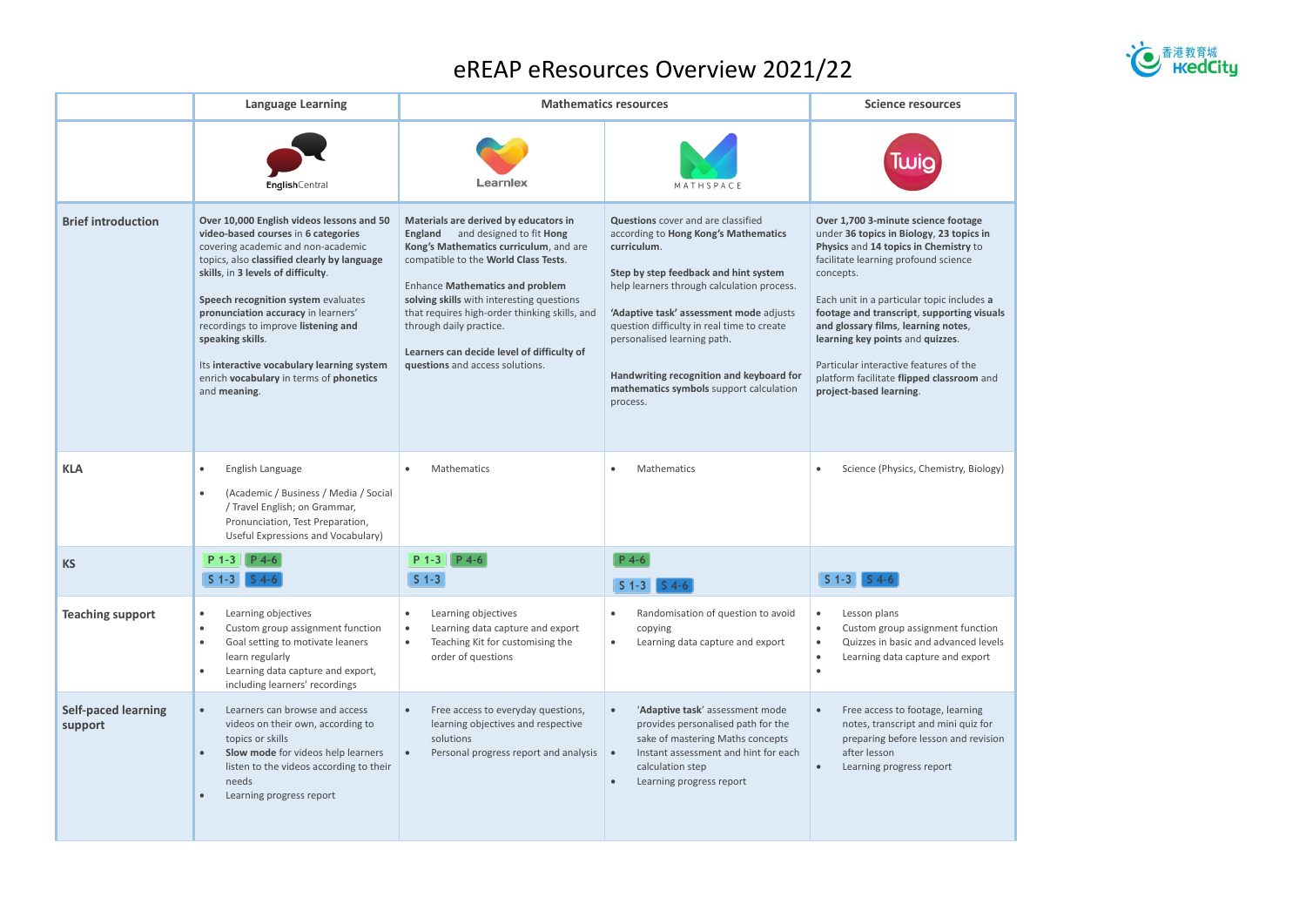## eREAP eResources Overview 2021/22

|                                       | <b>Language Learning</b>                                                                                                                                                                                                                                                                                                                                                                                                                                      | <b>Mathematics resources</b>                                                                                                                                                                                                                                                                                                                                                                                       |                                                                                                                                                                                                                                                                                                                                                                                                             | <b>Science resources</b>                                                                                                                                                                                                                                                                                                                                                                                                                                               |
|---------------------------------------|---------------------------------------------------------------------------------------------------------------------------------------------------------------------------------------------------------------------------------------------------------------------------------------------------------------------------------------------------------------------------------------------------------------------------------------------------------------|--------------------------------------------------------------------------------------------------------------------------------------------------------------------------------------------------------------------------------------------------------------------------------------------------------------------------------------------------------------------------------------------------------------------|-------------------------------------------------------------------------------------------------------------------------------------------------------------------------------------------------------------------------------------------------------------------------------------------------------------------------------------------------------------------------------------------------------------|------------------------------------------------------------------------------------------------------------------------------------------------------------------------------------------------------------------------------------------------------------------------------------------------------------------------------------------------------------------------------------------------------------------------------------------------------------------------|
|                                       | EnglishCentral                                                                                                                                                                                                                                                                                                                                                                                                                                                | Learnlex                                                                                                                                                                                                                                                                                                                                                                                                           | MATHSPACE                                                                                                                                                                                                                                                                                                                                                                                                   |                                                                                                                                                                                                                                                                                                                                                                                                                                                                        |
| <b>Brief introduction</b>             | Over 10,000 English videos lessons and 50<br>video-based courses in 6 categories<br>covering academic and non-academic<br>topics, also classified clearly by language<br>skills, in 3 levels of difficulty.<br>Speech recognition system evaluates<br>pronunciation accuracy in learners'<br>recordings to improve listening and<br>speaking skills.<br>Its interactive vocabulary learning system<br>enrich vocabulary in terms of phonetics<br>and meaning. | Materials are derived by educators in<br>and designed to fit Hong<br>England<br>Kong's Mathematics curriculum, and are<br>compatible to the World Class Tests.<br><b>Enhance Mathematics and problem</b><br>solving skills with interesting questions<br>that requires high-order thinking skills, and<br>through daily practice.<br>Learners can decide level of difficulty of<br>questions and access solutions. | Questions cover and are classified<br>according to Hong Kong's Mathematics<br>curriculum.<br>Step by step feedback and hint system<br>help learners through calculation process.<br>'Adaptive task' assessment mode adjusts<br>question difficulty in real time to create<br>personalised learning path.<br>Handwriting recognition and keyboard for<br>mathematics symbols support calculation<br>process. | Over 1,700 3-minute science footage<br>under 36 topics in Biology, 23 topics in<br>Physics and 14 topics in Chemistry to<br>facilitate learning profound science<br>concepts.<br>Each unit in a particular topic includes a<br>footage and transcript, supporting visuals<br>and glossary films, learning notes,<br>learning key points and quizzes.<br>Particular interactive features of the<br>platform facilitate flipped classroom and<br>project-based learning. |
| <b>KLA</b>                            | English Language<br>$\bullet$<br>(Academic / Business / Media / Social<br>$\bullet$<br>/ Travel English; on Grammar,<br>Pronunciation, Test Preparation,<br>Useful Expressions and Vocabulary)                                                                                                                                                                                                                                                                | Mathematics                                                                                                                                                                                                                                                                                                                                                                                                        | Mathematics                                                                                                                                                                                                                                                                                                                                                                                                 | Science (Physics, Chemistry, Biology)                                                                                                                                                                                                                                                                                                                                                                                                                                  |
| <b>KS</b>                             | $S_1 - 3$                                                                                                                                                                                                                                                                                                                                                                                                                                                     | $S_1 - 3$                                                                                                                                                                                                                                                                                                                                                                                                          | $P$ 4-6<br>$S$ 1-3 $S$ 4-6                                                                                                                                                                                                                                                                                                                                                                                  |                                                                                                                                                                                                                                                                                                                                                                                                                                                                        |
| <b>Teaching support</b>               | Learning objectives<br>$\bullet$<br>Custom group assignment function<br>$\bullet$<br>Goal setting to motivate leaners<br>$\bullet$<br>learn regularly<br>Learning data capture and export,<br>$\bullet$<br>including learners' recordings                                                                                                                                                                                                                     | Learning objectives<br>Learning data capture and export<br>Teaching Kit for customising the<br>$\bullet$<br>order of questions                                                                                                                                                                                                                                                                                     | Randomisation of question to avoid<br>copying<br>Learning data capture and export<br>$\bullet$                                                                                                                                                                                                                                                                                                              | Lesson plans<br>$\bullet$<br>Custom group assignment function<br>$\bullet$<br>Quizzes in basic and advanced levels<br>Learning data capture and export<br>$\bullet$                                                                                                                                                                                                                                                                                                    |
| <b>Self-paced learning</b><br>support | Learners can browse and access<br>$\bullet$<br>videos on their own, according to<br>topics or skills<br>Slow mode for videos help learners<br>$\bullet$<br>listen to the videos according to their<br>needs<br>Learning progress report<br>$\bullet$                                                                                                                                                                                                          | Free access to everyday questions,<br>learning objectives and respective<br>solutions<br>Personal progress report and analysis                                                                                                                                                                                                                                                                                     | 'Adaptive task' assessment mode<br>provides personalised path for the<br>sake of mastering Maths concepts<br>Instant assessment and hint for each<br>$\bullet$<br>calculation step<br>Learning progress report                                                                                                                                                                                              | Free access to footage, learning<br>$\bullet$<br>notes, transcript and mini quiz for<br>preparing before lesson and revision<br>after lesson<br>Learning progress report                                                                                                                                                                                                                                                                                               |